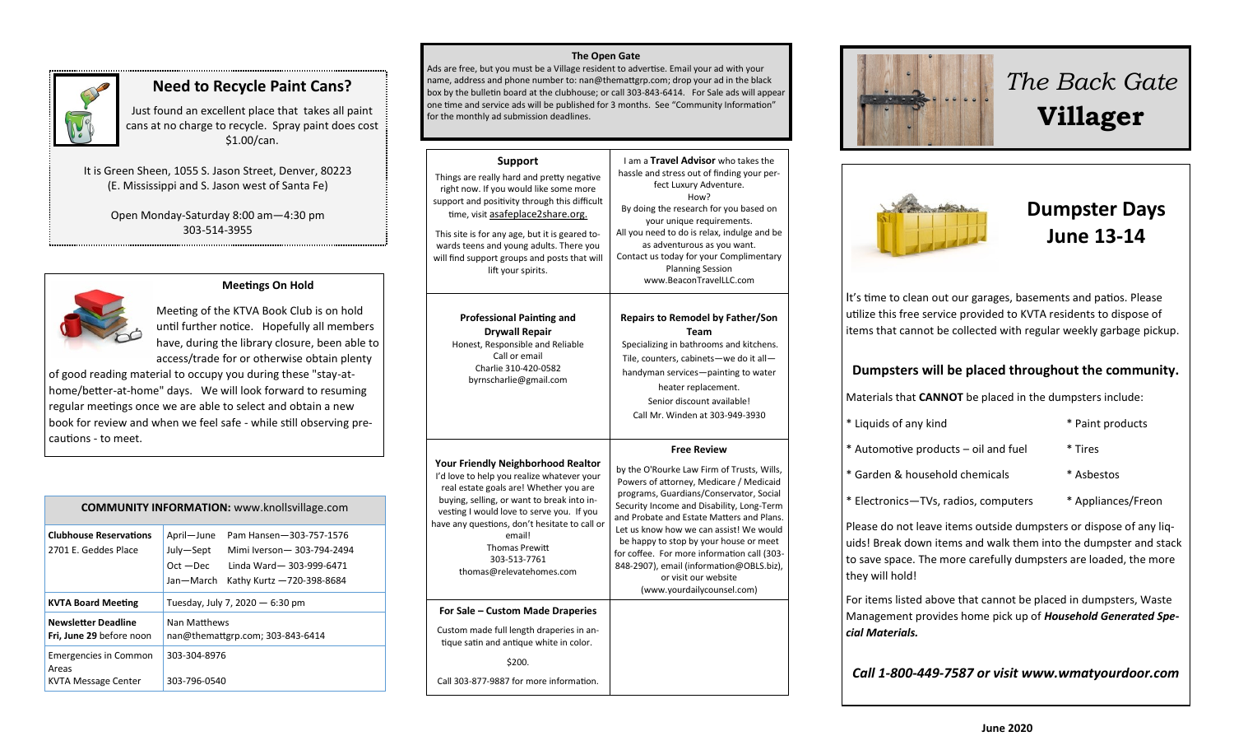

## **Need to Recycle Paint Cans?**

Just found an excellent place that takes all paint cans at no charge to recycle. Spray paint does cost \$1.00/can.

It is Green Sheen, 1055 S. Jason Street, Denver, 80223 (E. Mississippi and S. Jason west of Santa Fe)

> Open Monday-Saturday 8:00 am—4:30 pm 303-514-3955



#### **Meetings On Hold**

Meeting of the KTVA Book Club is on hold until further notice. Hopefully all members have, during the library closure, been able to access/trade for or otherwise obtain plenty

of good reading material to occupy you during these "stay-athome/better-at-home" days. We will look forward to resuming regular meetings once we are able to select and obtain a new book for review and when we feel safe - while still observing precautions - to meet.

| <b>COMMUNITY INFORMATION:</b> www.knollsvillage.com                 |                                                                                                                                                                     |  |
|---------------------------------------------------------------------|---------------------------------------------------------------------------------------------------------------------------------------------------------------------|--|
| <b>Clubhouse Reservations</b><br>2701 E. Geddes Place               | April-June<br>Pam Hansen-303-757-1576<br>July-Sept<br>Mimi Iverson-303-794-2494<br>$Oct - Dec$<br>Linda Ward-303-999-6471<br>Jan—March<br>Kathy Kurtz -720-398-8684 |  |
| <b>KVTA Board Meeting</b>                                           | Tuesday, July 7, 2020 - 6:30 pm                                                                                                                                     |  |
| <b>Newsletter Deadline</b><br>Fri, June 29 before noon              | Nan Matthews<br>nan@themattgrp.com; 303-843-6414                                                                                                                    |  |
| <b>Emergencies in Common</b><br>Areas<br><b>KVTA Message Center</b> | 303-304-8976<br>303-796-0540                                                                                                                                        |  |

#### **The Open Gate**

Ads are free, but you must be a Village resident to advertise. Email your ad with your name, address and phone number to: nan@themattgrp.com; drop your ad in the black box by the bulletin board at the clubhouse; or call 303-843-6414. For Sale ads will appear one time and service ads will be published for 3 months. See "Community Information" for the monthly ad submission deadlines.

| <b>Support</b><br>Things are really hard and pretty negative<br>right now. If you would like some more<br>support and positivity through this difficult<br>time, visit asafeplace2share.org.<br>This site is for any age, but it is geared to-<br>wards teens and young adults. There you<br>will find support groups and posts that will<br>lift your spirits. | I am a Travel Advisor who takes the<br>hassle and stress out of finding your per-<br>fect Luxury Adventure.<br>How?<br>By doing the research for you based on<br>your unique requirements.<br>All you need to do is relax, indulge and be<br>as adventurous as you want.<br>Contact us today for your Complimentary<br><b>Planning Session</b><br>www.BeaconTravelLLC.com                                                                                                              |
|-----------------------------------------------------------------------------------------------------------------------------------------------------------------------------------------------------------------------------------------------------------------------------------------------------------------------------------------------------------------|----------------------------------------------------------------------------------------------------------------------------------------------------------------------------------------------------------------------------------------------------------------------------------------------------------------------------------------------------------------------------------------------------------------------------------------------------------------------------------------|
| <b>Professional Painting and</b><br><b>Drywall Repair</b><br>Honest, Responsible and Reliable<br>Call or email<br>Charlie 310-420-0582<br>byrnscharlie@gmail.com                                                                                                                                                                                                | <b>Repairs to Remodel by Father/Son</b><br>Team<br>Specializing in bathrooms and kitchens.<br>Tile, counters, cabinets-we do it all-<br>handyman services-painting to water<br>heater replacement.<br>Senior discount available!<br>Call Mr. Winden at 303-949-3930                                                                                                                                                                                                                    |
| <b>Your Friendly Neighborhood Realtor</b><br>I'd love to help you realize whatever your<br>real estate goals are! Whether you are<br>buying, selling, or want to break into in-<br>vesting I would love to serve you. If you<br>have any questions, don't hesitate to call or<br>email!<br><b>Thomas Prewitt</b><br>303-513-7761<br>thomas@relevatehomes.com    | <b>Free Review</b><br>by the O'Rourke Law Firm of Trusts, Wills,<br>Powers of attorney, Medicare / Medicaid<br>programs, Guardians/Conservator, Social<br>Security Income and Disability, Long-Term<br>and Probate and Estate Matters and Plans.<br>Let us know how we can assist! We would<br>be happy to stop by your house or meet<br>for coffee. For more information call (303-<br>848-2907), email (information@OBLS.biz),<br>or visit our website<br>(www.yourdailycounsel.com) |
| For Sale - Custom Made Draperies                                                                                                                                                                                                                                                                                                                                |                                                                                                                                                                                                                                                                                                                                                                                                                                                                                        |

Custom made full length draperies in antique satin and antique white in color.

\$200.

Call 303-877-9887 for more information.



# *The Back Gate*  **Villager**



# **Dumpster Days June 13-14**

It's time to clean out our garages, basements and patios. Please utilize this free service provided to KVTA residents to dispose of items that cannot be collected with regular weekly garbage pickup.

#### **Dumpsters will be placed throughout the community.**

Materials that **CANNOT** be placed in the dumpsters include:

| * Liquids of any kind                | * Paint products |
|--------------------------------------|------------------|
| * Automotive products – oil and fuel | * Tires          |
| * Garden & household chemicals       | * Asbestos       |

\* Electronics—TVs, radios, computers \* Appliances/Freon

Please do not leave items outside dumpsters or dispose of any liquids! Break down items and walk them into the dumpster and stack to save space. The more carefully dumpsters are loaded, the more they will hold!

For items listed above that cannot be placed in dumpsters, Waste Management provides home pick up of *Household Generated Special Materials.* 

*Call 1-800-449-7587 or visit www.wmatyourdoor.com*